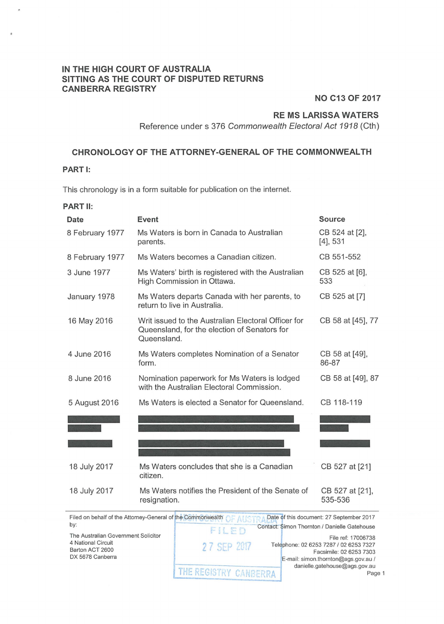### **IN THE HIGH COURT OF AUSTRALIA SITTING AS THE COURT OF DISPUTED RETURNS CANBERRA REGISTRY**

**NO C13 OF 2017** 

# **RE MS LARISSA WATERS**

Reference under s 376 Commonwealth Electoral Act 1918 (Cth)

#### **CHRONOLOGY OF THE ATTORNEY-GENERAL OF THE COMMONWEALTH**

## **PART I:**

This chronology is in a form suitable for publication on the internet.

#### **PART 11:**

| Date            | Event                                                                                                              | <b>Source</b>                 |
|-----------------|--------------------------------------------------------------------------------------------------------------------|-------------------------------|
| 8 February 1977 | Ms Waters is born in Canada to Australian<br>parents.                                                              | CB 524 at [2],<br>$[4]$ , 531 |
| 8 February 1977 | Ms Waters becomes a Canadian citizen.                                                                              | CB 551-552                    |
| 3 June 1977     | Ms Waters' birth is registered with the Australian<br>High Commission in Ottawa.                                   | CB 525 at [6],<br>533         |
| January 1978    | Ms Waters departs Canada with her parents, to<br>return to live in Australia.                                      | CB 525 at [7]                 |
| 16 May 2016     | Writ issued to the Australian Electoral Officer for<br>Queensland, for the election of Senators for<br>Queensland. | CB 58 at [45], 77             |
| 4 June 2016     | Ms Waters completes Nomination of a Senator<br>form.                                                               | CB 58 at [49],<br>86-87       |
| 8 June 2016     | Nomination paperwork for Ms Waters is lodged<br>with the Australian Electoral Commission.                          | CB 58 at [49], 87             |
| 5 August 2016   | Ms Waters is elected a Senator for Queensland.                                                                     | CB 118-119                    |
|                 |                                                                                                                    |                               |
|                 |                                                                                                                    |                               |
| 18 July 2017    | Ms Waters concludes that she is a Canadian<br>citizen.                                                             | CB 527 at [21]                |
| 18 July 2017    | Ms Waters notifies the President of the Senate of<br>resignation.                                                  | CB 527 at [21],<br>535-536    |

Filed on behalf of the Attorney-General of <mark>the Com</mark>r **Date of this document: 27 September 2017** by: Contact: Simon Thornton / Danielle Gatehouse FILED The Australian Government Solicitor File ref: 17006738 4 National Circuit Telephone: 02 6253 7287 I 02 6253 7327 **27 SEP 2017** Barton ACT 2600 Facsimile: 02 6253 7303 DX 5678 Canberra E-mail: simon.thornton@ags.gov.au / THE REGISTRY CANBERRA danielle.gatehouse@ags.gov.au Page 1